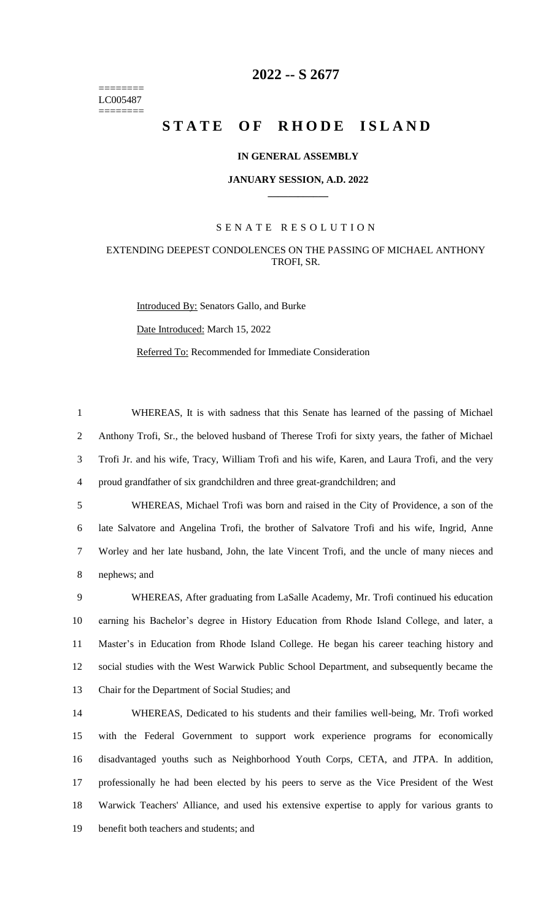======== LC005487 ========

# **-- S 2677**

# STATE OF RHODE ISLAND

### **IN GENERAL ASSEMBLY**

#### **JANUARY SESSION, A.D. 2022 \_\_\_\_\_\_\_\_\_\_\_\_**

## S E N A T E R E S O L U T I O N

# EXTENDING DEEPEST CONDOLENCES ON THE PASSING OF MICHAEL ANTHONY TROFI, SR.

Introduced By: Senators Gallo, and Burke

Date Introduced: March 15, 2022

Referred To: Recommended for Immediate Consideration

 WHEREAS, It is with sadness that this Senate has learned of the passing of Michael Anthony Trofi, Sr., the beloved husband of Therese Trofi for sixty years, the father of Michael Trofi Jr. and his wife, Tracy, William Trofi and his wife, Karen, and Laura Trofi, and the very proud grandfather of six grandchildren and three great-grandchildren; and

 WHEREAS, Michael Trofi was born and raised in the City of Providence, a son of the late Salvatore and Angelina Trofi, the brother of Salvatore Trofi and his wife, Ingrid, Anne Worley and her late husband, John, the late Vincent Trofi, and the uncle of many nieces and nephews; and

 WHEREAS, After graduating from LaSalle Academy, Mr. Trofi continued his education earning his Bachelor's degree in History Education from Rhode Island College, and later, a Master's in Education from Rhode Island College. He began his career teaching history and social studies with the West Warwick Public School Department, and subsequently became the Chair for the Department of Social Studies; and

 WHEREAS, Dedicated to his students and their families well-being, Mr. Trofi worked with the Federal Government to support work experience programs for economically disadvantaged youths such as Neighborhood Youth Corps, CETA, and JTPA. In addition, professionally he had been elected by his peers to serve as the Vice President of the West Warwick Teachers' Alliance, and used his extensive expertise to apply for various grants to benefit both teachers and students; and